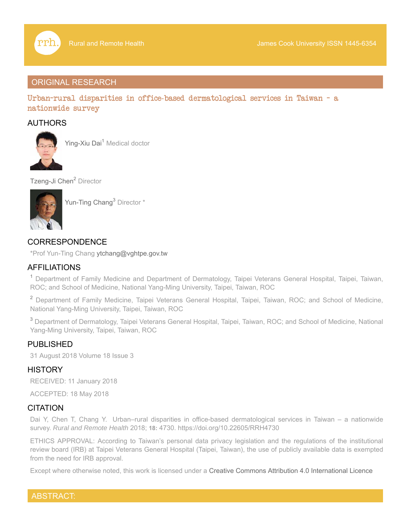

# ORIGINAL RESEARCH

Urban-rural disparities in office-based dermatological services in Taiwan - a nationwide survey

# AUTHORS



Ying-Xiu Dai<sup>1</sup> Medical doctor

Tzeng-Ji Chen<sup>2</sup> Director



Yun-Ting Chang<sup>3</sup> Director \*

# CORRESPONDENCE

\*Prof Yun-Ting Chang ytchang@vghtpe.gov.tw

# AFFILIATIONS

<sup>1</sup> Department of Family Medicine and Department of Dermatology, Taipei Veterans General Hospital, Taipei, Taiwan, ROC; and School of Medicine, National Yang-Ming University, Taipei, Taiwan, ROC

<sup>2</sup> Department of Family Medicine, Taipei Veterans General Hospital, Taipei, Taiwan, ROC; and School of Medicine, National Yang-Ming University, Taipei, Taiwan, ROC

 $^{\rm 3}$  Department of Dermatology, Taipei Veterans General Hospital, Taipei, Taiwan, ROC; and School of Medicine, National Yang-Ming University, Taipei, Taiwan, ROC

# PUBLISHED

31 August 2018 Volume 18 Issue 3

# **HISTORY**

RECEIVED: 11 January 2018

ACCEPTED: 18 May 2018

# **CITATION**

Dai Y, Chen T, Chang Y. Urban–rural disparities in office-based dermatological services in Taiwan – a nationwide survey. *Rural and Remote Health* 2018; **18:** 4730. https://doi.org/10.22605/RRH4730

ETHICS APPROVAL: According to Taiwan's personal data privacy legislation and the regulations of the institutional review board (IRB) at Taipei Veterans General Hospital (Taipei, Taiwan), the use of publicly available data is exempted from the need for IRB approval.

Except where otherwise noted, this work is licensed under a Creative Commons Attribution 4.0 International Licence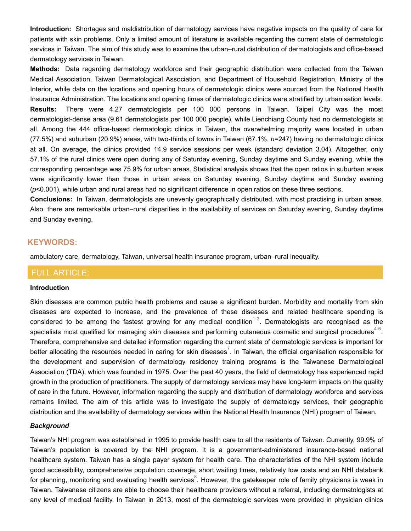**Introduction:** Shortages and maldistribution of dermatology services have negative impacts on the quality of care for patients with skin problems. Only a limited amount of literature is available regarding the current state of dermatologic services in Taiwan. The aim of this study was to examine the urban–rural distribution of dermatologists and office-based dermatology services in Taiwan.

**Methods:** Data regarding dermatology workforce and their geographic distribution were collected from the Taiwan Medical Association, Taiwan Dermatological Association, and Department of Household Registration, Ministry of the Interior, while data on the locations and opening hours of dermatologic clinics were sourced from the National Health Insurance Administration. The locations and opening times of dermatologic clinics were stratified by urbanisation levels. **Results:** There were 4.27 dermatologists per 100 000 persons in Taiwan. Taipei City was the most dermatologist-dense area (9.61 dermatologists per 100 000 people), while Lienchiang County had no dermatologists at all. Among the 444 office-based dermatologic clinics in Taiwan, the overwhelming majority were located in urban (77.5%) and suburban (20.9%) areas, with two-thirds of towns in Taiwan (67.1%, *n*=247) having no dermatologic clinics at all. On average, the clinics provided 14.9 service sessions per week (standard deviation 3.04). Altogether, only 57.1% of the rural clinics were open during any of Saturday evening, Sunday daytime and Sunday evening, while the corresponding percentage was 75.9% for urban areas. Statistical analysis shows that the open ratios in suburban areas were significantly lower than those in urban areas on Saturday evening, Sunday daytime and Sunday evening (*p*<0.001), while urban and rural areas had no significant difference in open ratios on these three sections.

**Conclusions:** In Taiwan, dermatologists are unevenly geographically distributed, with most practising in urban areas. Also, there are remarkable urban–rural disparities in the availability of services on Saturday evening, Sunday daytime and Sunday evening.

## **KEYWORDS:**

ambulatory care, dermatology, Taiwan, universal health insurance program, urban–rural inequality.

## FULL ARTICLE:

#### **Introduction**

Skin diseases are common public health problems and cause a significant burden. Morbidity and mortality from skin diseases are expected to increase, and the prevalence of these diseases and related healthcare spending is considered to be among the fastest growing for any medical condition<sup>1-3</sup>. Dermatologists are recognised as the specialists most qualified for managing skin diseases and performing cutaneous cosmetic and surgical procedures $^{4\text{-}6}.$ Therefore, comprehensive and detailed information regarding the current state of dermatologic services is important for better allocating the resources needed in caring for skin diseases $^7$ . In Taiwan, the official organisation responsible for the development and supervision of dermatology residency training programs is the Taiwanese Dermatological Association (TDA), which was founded in 1975. Over the past 40 years, the field of dermatology has experienced rapid growth in the production of practitioners. The supply of dermatology services may have long-term impacts on the quality of care in the future. However, information regarding the supply and distribution of dermatology workforce and services remains limited. The aim of this article was to investigate the supply of dermatology services, their geographic distribution and the availability of dermatology services within the National Health Insurance (NHI) program of Taiwan.

#### *Background*

Taiwan's NHI program was established in 1995 to provide health care to all the residents of Taiwan. Currently, 99.9% of Taiwan's population is covered by the NHI program. It is a government-administered insurance-based national healthcare system. Taiwan has a single payer system for health care. The characteristics of the NHI system include good accessibility, comprehensive population coverage, short waiting times, relatively low costs and an NHI databank for planning, monitoring and evaluating health services $^8$ . However, the gatekeeper role of family physicians is weak in Taiwan. Taiwanese citizens are able to choose their healthcare providers without a referral, including dermatologists at any level of medical facility. In Taiwan in 2013, most of the dermatologic services were provided in physician clinics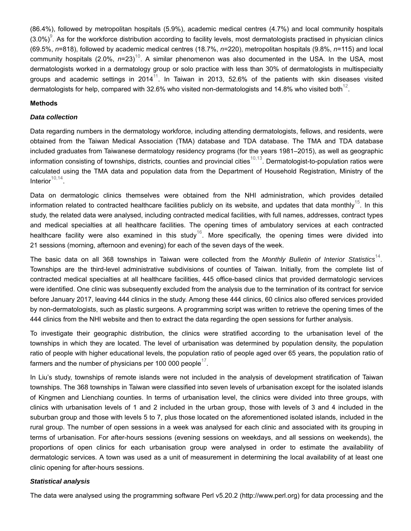(86.4%), followed by metropolitan hospitals (5.9%), academic medical centres (4.7%) and local community hospitals  $(3.0\%)^9$ . As for the workforce distribution according to facility levels, most dermatologists practised in physician clinics (69.5%, *n*=818), followed by academic medical centres (18.7%, *n*=220), metropolitan hospitals (9.8%, *n*=115) and local community hospitals (2.0%, *n*=23)<sup>10</sup>. A similar phenomenon was also documented in the USA. In the USA, most dermatologists worked in a dermatology group or solo practice with less than 30% of dermatologists in multispecialty groups and academic settings in 2014 $^{\rm 11}$ . In Taiwan in 2013, 52.6% of the patients with skin diseases visited dermatologists for help, compared with 32.6% who visited non-dermatologists and 14.8% who visited both $^{\rm 12}.$ 

## **Methods**

#### *Data collection*

Data regarding numbers in the dermatology workforce, including attending dermatologists, fellows, and residents, were obtained from the Taiwan Medical Association (TMA) database and TDA database. The TMA and TDA database included graduates from Taiwanese dermatology residency programs (for the years 1981–2015), as well as geographic information consisting of townships, districts, counties and provincial cities $^{10,13}$ . Dermatologist-to-population ratios were calculated using the TMA data and population data from the Department of Household Registration, Ministry of the Interior $10,14$ .

Data on dermatologic clinics themselves were obtained from the NHI administration, which provides detailed information related to contracted healthcare facilities publicly on its website, and updates that data monthly $^{\rm 15}$ . In this study, the related data were analysed, including contracted medical facilities, with full names, addresses, contract types and medical specialties at all healthcare facilities. The opening times of ambulatory services at each contracted healthcare facility were also examined in this study $^{16}$ . More specifically, the opening times were divided into 21 sessions (morning, afternoon and evening) for each of the seven days of the week.

The basic data on all 368 townships in Taiwan were collected from the *Monthly Bulletin of Interior Statistics*<sup>14</sup>. Townships are the third-level administrative subdivisions of counties of Taiwan. Initially, from the complete list of contracted medical specialties at all healthcare facilities, 445 office-based clinics that provided dermatologic services were identified. One clinic was subsequently excluded from the analysis due to the termination of its contract for service before January 2017, leaving 444 clinics in the study. Among these 444 clinics, 60 clinics also offered services provided by non-dermatologists, such as plastic surgeons. A programming script was written to retrieve the opening times of the 444 clinics from the NHI website and then to extract the data regarding the open sessions for further analysis.

To investigate their geographic distribution, the clinics were stratified according to the urbanisation level of the townships in which they are located. The level of urbanisation was determined by population density, the population ratio of people with higher educational levels, the population ratio of people aged over 65 years, the population ratio of farmers and the number of physicians per 100 000 people $^{\mathrm{17}}$ .

In Liu's study, townships of remote islands were not included in the analysis of development stratification of Taiwan townships. The 368 townships in Taiwan were classified into seven levels of urbanisation except for the isolated islands of Kingmen and Lienchiang counties. In terms of urbanisation level, the clinics were divided into three groups, with clinics with urbanisation levels of 1 and 2 included in the urban group, those with levels of 3 and 4 included in the suburban group and those with levels 5 to 7, plus those located on the aforementioned isolated islands, included in the rural group. The number of open sessions in a week was analysed for each clinic and associated with its grouping in terms of urbanisation. For after-hours sessions (evening sessions on weekdays, and all sessions on weekends), the proportions of open clinics for each urbanisation group were analysed in order to estimate the availability of dermatologic services. A town was used as a unit of measurement in determining the local availability of at least one clinic opening for after-hours sessions.

## *Statistical analysis*

The data were analysed using the programming software Perl v5.20.2 (http://www.perl.org) for data processing and the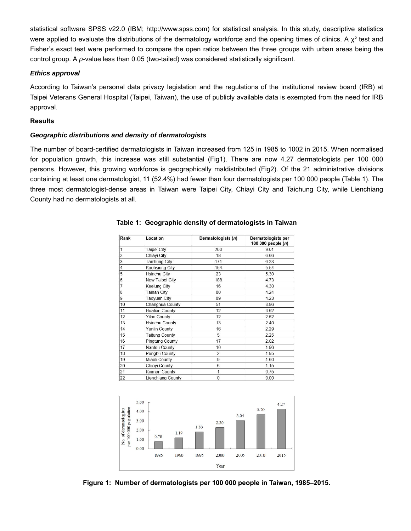statistical software SPSS v22.0 (IBM; http://www.spss.com) for statistical analysis. In this study, descriptive statistics were applied to evaluate the distributions of the dermatology workforce and the opening times of clinics. A  $\chi^2$  test and Fisher's exact test were performed to compare the open ratios between the three groups with urban areas being the control group. A *p*-value less than 0.05 (two-tailed) was considered statistically significant.

### *Ethics approval*

According to Taiwan's personal data privacy legislation and the regulations of the institutional review board (IRB) at Taipei Veterans General Hospital (Taipei, Taiwan), the use of publicly available data is exempted from the need for IRB approval.

#### **Results**

## *Geographic distributions and density of dermatologists*

The number of board-certified dermatologists in Taiwan increased from 125 in 1985 to 1002 in 2015. When normalised for population growth, this increase was still substantial (Fig1). There are now 4.27 dermatologists per 100 000 persons. However, this growing workforce is geographically maldistributed (Fig2). Of the 21 administrative divisions containing at least one dermatologist, 11 (52.4%) had fewer than four dermatologists per 100 000 people (Table 1). The three most dermatologist-dense areas in Taiwan were Taipei City, Chiayi City and Taichung City, while Lienchiang County had no dermatologists at all.

| Rank           | Location               | Dermatologists (n) | Dermatologists per<br>100 000 people (n) |  |  |  |  |
|----------------|------------------------|--------------------|------------------------------------------|--|--|--|--|
| 1              | Taipei City            | 260                | 9.61                                     |  |  |  |  |
| $\overline{a}$ | Chiayi City            | 18                 | 6.66                                     |  |  |  |  |
| 3              | <b>Taichung City</b>   | 171                | 6.23                                     |  |  |  |  |
| $\overline{4}$ | Kaohsiung City         | 154                | 5.54                                     |  |  |  |  |
| 5              | <b>Hsinchu City</b>    | 23                 | 5.30                                     |  |  |  |  |
| 6              | New Taipei City        | 188                | 4.73                                     |  |  |  |  |
| $\overline{7}$ | Keelung City           | 16                 | 4.30                                     |  |  |  |  |
| 8              | <b>Tainan City</b>     | 80                 | 4.24                                     |  |  |  |  |
| $\overline{9}$ | Taoyuan City           | 89                 | 4.23                                     |  |  |  |  |
| 10             | Changhua County        | 51                 | 3.96                                     |  |  |  |  |
| 11             | <b>Hualien County</b>  | 12                 | 3.62                                     |  |  |  |  |
| 12             | <b>Yilan County</b>    | 12                 | 2.62                                     |  |  |  |  |
| 13             | <b>Hsinchu County</b>  | 13                 | 2.40                                     |  |  |  |  |
| 14             | Yunlin County          | 16                 | 2.29                                     |  |  |  |  |
| 15             | <b>Taitung County</b>  | 5                  | 2.25                                     |  |  |  |  |
| 16             | <b>Pingtung County</b> | 17                 | 2.02                                     |  |  |  |  |
| 17             | Nantou County          | 10                 | 1.96                                     |  |  |  |  |
| 18             | Penghu County          | $\overline{2}$     | 1.95                                     |  |  |  |  |
| 19             | Miaoli County          | 9                  | 1.60                                     |  |  |  |  |
| 20             | Chiayi County          | 6                  | 1.15                                     |  |  |  |  |
| 21             | Kinmen County          | 1                  | 0.75                                     |  |  |  |  |
| 22             | Lienchiang County      | 0                  | 0.00                                     |  |  |  |  |

## **Table 1: Geographic density of dermatologists in Taiwan**



**Figure 1: Number of dermatologists per 100 000 people in Taiwan, 1985–2015.**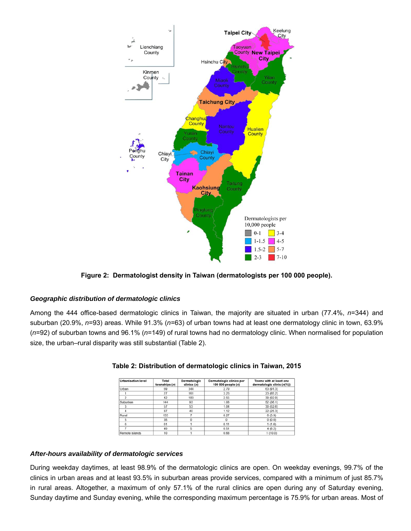

**Figure 2: Dermatologist density in Taiwan (dermatologists per 100 000 people).**

## *Geographic distribution of dermatologic clinics*

Among the 444 office-based dermatologic clinics in Taiwan, the majority are situated in urban (77.4%, *n*=344) and suburban (20.9%, *n*=93) areas. While 91.3% (*n*=63) of urban towns had at least one dermatology clinic in town, 63.9% (*n*=92) of suburban towns and 96.1% (*n*=149) of rural towns had no dermatology clinic. When normalised for population size, the urban–rural disparity was still substantial (Table 2).

| <b>Urbanisation level</b> | Total<br>townships (n) | Dermatologic<br>clinics $(n)$ | Dermatologic clinics per<br>100 000 people (n) | Towns with at least one<br>dermatologic clinic $(n\%)$ |  |  |  |  |  |
|---------------------------|------------------------|-------------------------------|------------------------------------------------|--------------------------------------------------------|--|--|--|--|--|
| Urban                     | 69                     | 344                           | 2.79                                           | 63 (91.3)                                              |  |  |  |  |  |
|                           | 27                     | 161                           | 3.23                                           | 23 (85.2)                                              |  |  |  |  |  |
|                           | 42                     | 183                           | 2.55                                           | 39 (92.9)                                              |  |  |  |  |  |
| Suburban                  | 144                    | 93                            | 1.08                                           | 52(36.1)                                               |  |  |  |  |  |
|                           | 57                     | 53                            | 1.04                                           | 30(52.6)                                               |  |  |  |  |  |
| 4                         | 87                     | 40                            | 1.12                                           | 22 (25.3)                                              |  |  |  |  |  |
| Rural                     | 155                    |                               | 0.27                                           | 6(3.9)                                                 |  |  |  |  |  |
| 5                         | 35                     |                               | 0                                              | 0(0.0)                                                 |  |  |  |  |  |
| R                         | 61                     |                               | 0.11                                           | 1(1.6)                                                 |  |  |  |  |  |
|                           | 49                     |                               | 0.51                                           | 4(8.2)                                                 |  |  |  |  |  |
| Remote islands            | 10                     |                               | 0.68                                           | 1(10.0)                                                |  |  |  |  |  |



# *After-hours availability of dermatologic services*

During weekday daytimes, at least 98.9% of the dermatologic clinics are open. On weekday evenings, 99.7% of the clinics in urban areas and at least 93.5% in suburban areas provide services, compared with a minimum of just 85.7% in rural areas. Altogether, a maximum of only 57.1% of the rural clinics are open during any of Saturday evening, Sunday daytime and Sunday evening, while the corresponding maximum percentage is 75.9% for urban areas. Most of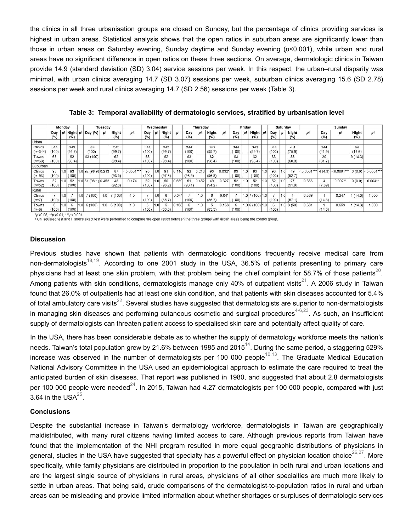the clinics in all three urbanisation groups are closed on Sunday, but the percentage of clinics providing services is highest in urban areas. Statistical analysis shows that the open ratios in suburban areas are significantly lower than those in urban areas on Saturday evening, Sunday daytime and Sunday evening (*p*<0.001), while urban and rural areas have no significant difference in open ratios on these three sections. On average, dermatologic clinics in Taiwan provide 14.9 (standard deviation (SD) 3.04) service sessions per week. In this respect, the urban–rural disparity was minimal, with urban clinics averaging 14.7 (SD 3.07) sessions per week, suburban clinics averaging 15.6 (SD 2.78) sessions per week and rural clinics averaging 14.7 (SD 2.56) sessions per week (Table 3).

|                      | Monday                 |                |                         |     | Tuesdav               |                |               |               |              |                            |               |         | Wednesdav              |       |               | Thursday |              |      |                   | Friday           |                         |     |               | Saturday      |               |               |              | Sunday                |  |  |
|----------------------|------------------------|----------------|-------------------------|-----|-----------------------|----------------|---------------|---------------|--------------|----------------------------|---------------|---------|------------------------|-------|---------------|----------|--------------|------|-------------------|------------------|-------------------------|-----|---------------|---------------|---------------|---------------|--------------|-----------------------|--|--|
|                      | Day<br>(%)             | pt             | Night pt<br>(%)         |     | Day (%)               | p <sup>†</sup> | Night<br>(%)  | pt            | Day<br>(%)   | l pt<br>Night<br>рt<br>(%) | Day<br>(%)    | р1      | Night<br>(%)           | рt    | Day<br>(%)    | pt       | Night<br>(%) | l pt | Day<br>(%)        | pt               | Night<br>(%)            | рt  | Day<br>(%)    | рt            | Night<br>(%)  | pt            |              |                       |  |  |
| Urban                |                        |                |                         |     |                       |                |               |               |              |                            |               |         |                        |       |               |          |              |      |                   |                  |                         |     |               |               |               |               |              |                       |  |  |
| Clinics<br>$(n=344)$ | 344<br>(100)           |                | 343<br>(99.7)           |     | 344<br>(100)          |                | 343<br>(99.7) |               | 344<br>(100) |                            | 343<br>(99.7) |         | 344<br>(100)           |       | 343<br>(99.7) |          | 344<br>(100) |      | 343<br>(99.7)     |                  | 344<br>(100)            |     | 261<br>(75.9) |               | 144<br>(41.9) |               | 64<br>(18.6) |                       |  |  |
| Towns<br>$(n=63)$    | 63<br>(100)            |                | 62<br>(98.4)            |     | 63 (100)              |                | 62<br>(98.4)  |               | 63<br>(100)  |                            | 62<br>(98.4)  |         | 63<br>(100)            |       | 62<br>(98.4)  |          | 63<br>(100)  |      | 62<br>(98.4)      |                  | 63<br>(100)             |     | 38<br>(60.3)  |               | 20<br>(31.7)  |               | 9(14.3)      |                       |  |  |
| Suburban             |                        |                |                         |     |                       |                |               |               |              |                            |               |         |                        |       |               |          |              |      |                   |                  |                         |     |               |               |               |               |              |                       |  |  |
| Clinics<br>$(n=93)$  | 93<br>(100)            |                | 93<br>(100)             |     | 1.0 92 (98.9) 0.213   |                | 87<br>(93.5)  | $< 0.0001***$ | 93<br>(100)  |                            | 91<br>(97.8)  | 0.116   | 92<br>(98.9)           | 0.213 | 90<br>(96.8)  | $0.032*$ | 93<br>(100)  | 1.0  | 93<br>(100)       | 1.0 <sub>i</sub> | 93<br>(100)             |     | 49<br>(52.7)  | $< 0.0001***$ | 4(4.3)        | $< 0.0001***$ |              | $ 0(0.0) $ <0.0001*** |  |  |
| Towns<br>$(n=52)$    | 52<br>(100)            |                | 52<br>(100)             |     | $1.0$ 51 (98.1) 0.452 |                | 48<br>(92.3)  | 0.174         | 52<br>(100)  |                            | 50<br>(96.2)  | 0.589   | 51<br>(98.1)           | 0.452 | 49<br>(94.2)  | 0.327    | 52<br>(100)  |      | 52<br>(100)       | .0               | 52<br>(100)             |     | 27<br>(51.9)  | 0.366         | (7.69)        | $0.002***$    | 0(0.0)       | $0.004**$             |  |  |
| Rural                |                        |                |                         |     |                       |                |               |               |              |                            |               |         |                        |       |               |          |              |      |                   |                  |                         |     |               |               |               |               |              |                       |  |  |
| Clinics<br>$(n=7)$   | $\rightarrow$<br>(100) | .01            | $\overline{7}$<br>(100) | 1.0 | 7(100)                | 1.0            | (100)         | 1.0           | ,<br>(100)   |                            | 6<br>(85.7)   | $0.04*$ | $\rightarrow$<br>(100) | 1.0   | 6<br>(85.7)   | $0.04*$  | (100)        |      | $1.0$ 7 (100) 1.0 |                  | $\overline{7}$<br>(100) | 1.0 | (57.1)        | 0.369         | (14.3)        | 0.247         | 1(14.3)      | 1.000                 |  |  |
| Towns<br>$(n=6)$     | 6<br>(100)             | $\overline{0}$ | 6<br>(100)              | 1.0 | 6(100)                |                | $1.0$ 6 (100) | 1.0           | 6<br>(100)   |                            | 5<br>(83.3)   | 0.168   | 6<br>(100)             | 1.0   | 5<br>(83.3)   | 0.168    | 6<br>(100)   |      | 1.06(100)[1.0]    |                  | 6<br>(100)              | 1.0 | 3(50)         | 0.681         | (14.3)        | 0.659         | 1(14.3)      | 1.000                 |  |  |

**Table 3: Temporal availability of dermatologic services, stratified by urbanisation level**

 $\frac{1}{2}$ <br>  $\frac{1}{2}$ <br>  $\frac{1}{2}$ <br>  $\frac{1}{2}$ <br>  $\frac{1}{2}$ <br>  $\frac{1}{2}$ <br>  $\frac{1}{2}$ <br>  $\frac{1}{2}$ <br>  $\frac{1}{2}$ <br>  $\frac{1}{2}$ <br>  $\frac{1}{2}$ <br>  $\frac{1}{2}$ <br>  $\frac{1}{2}$ <br>  $\frac{1}{2}$ <br>  $\frac{1}{2}$ <br>  $\frac{1}{2}$ <br>  $\frac{1}{2}$ <br>  $\frac{1}{2}$ <br>  $\frac{1}{2}$ <br>  $\frac{1}{2}$ <br>

#### **Discussion**

Previous studies have shown that patients with dermatologic conditions frequently receive medical care from non-dermatologists $^{18,19}$ . According to one 2001 study in the USA, 36.5% of patients presenting to primary care physicians had at least one skin problem, with that problem being the chief complaint for 58.7% of those patients $^{\rm 20}$ . Among patients with skin conditions, dermatologists manage only 40% of outpatient visits $^{21}$ . A 2006 study in Taiwan found that 26.0% of outpatients had at least one skin condition, and that patients with skin diseases accounted for 5.4% of total ambulatory care visits $^{22}$ . Several studies have suggested that dermatologists are superior to non-dermatologists in managing skin diseases and performing cutaneous cosmetic and surgical procedures $^{4\text{-}6,23}$ . As such, an insufficient supply of dermatologists can threaten patient access to specialised skin care and potentially affect quality of care.

In the USA, there has been considerable debate as to whether the supply of dermatology workforce meets the nation's needs. Taiwan's total population grew by 21.6% between 1985 and 2015 $^{14}$ . During the same period, a staggering 529% increase was observed in the number of dermatologists per 100 000 people $^{\rm 10,13}.$  The Graduate Medical Education National Advisory Committee in the USA used an epidemiological approach to estimate the care required to treat the anticipated burden of skin diseases. That report was published in 1980, and suggested that about 2.8 dermatologists per 100 000 people were needed $^{24}$ . In 2015, Taiwan had 4.27 dermatologists per 100 000 people, compared with just 3.64 in the USA $^{25}$ .

#### **Conclusions**

Despite the substantial increase in Taiwan's dermatology workforce, dermatologists in Taiwan are geographically maldistributed, with many rural citizens having limited access to care. Although previous reports from Taiwan have found that the implementation of the NHI program resulted in more equal geographic distributions of physicians in general, studies in the USA have suggested that specialty has a powerful effect on physician location choice $^{26,27}.$  More specifically, while family physicians are distributed in proportion to the population in both rural and urban locations and are the largest single source of physicians in rural areas, physicians of all other specialties are much more likely to settle in urban areas. That being said, crude comparisons of the dermatologist-to-population ratios in rural and urban areas can be misleading and provide limited information about whether shortages or surpluses of dermatologic services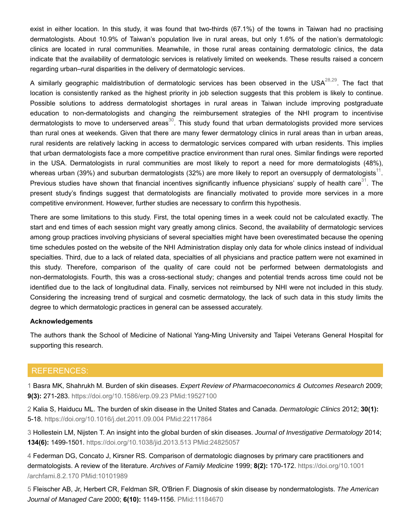exist in either location. In this study, it was found that two-thirds (67.1%) of the towns in Taiwan had no practising dermatologists. About 10.9% of Taiwan's population live in rural areas, but only 1.6% of the nation's dermatologic clinics are located in rural communities. Meanwhile, in those rural areas containing dermatologic clinics, the data indicate that the availability of dermatologic services is relatively limited on weekends. These results raised a concern regarding urban–rural disparities in the delivery of dermatologic services.

A similarly geographic maldistribution of dermatologic services has been observed in the USA $^{28,29}$ . The fact that location is consistently ranked as the highest priority in job selection suggests that this problem is likely to continue. Possible solutions to address dermatologist shortages in rural areas in Taiwan include improving postgraduate education to non-dermatologists and changing the reimbursement strategies of the NHI program to incentivise dermatologists to move to underserved areas $^{\rm 30}$ . This study found that urban dermatologists provided more services than rural ones at weekends. Given that there are many fewer dermatology clinics in rural areas than in urban areas, rural residents are relatively lacking in access to dermatologic services compared with urban residents. This implies that urban dermatologists face a more competitive practice environment than rural ones. Similar findings were reported in the USA. Dermatologists in rural communities are most likely to report a need for more dermatologists (48%), whereas urban (39%) and suburban dermatologists (32%) are more likely to report an oversupply of dermatologists $^{\rm 11}.$ Previous studies have shown that financial incentives significantly influence physicians' supply of health care $^{\rm 31}$ . The present study's findings suggest that dermatologists are financially motivated to provide more services in a more competitive environment. However, further studies are necessary to confirm this hypothesis.

There are some limitations to this study. First, the total opening times in a week could not be calculated exactly. The start and end times of each session might vary greatly among clinics. Second, the availability of dermatologic services among group practices involving physicians of several specialties might have been overestimated because the opening time schedules posted on the website of the NHI Administration display only data for whole clinics instead of individual specialties. Third, due to a lack of related data, specialties of all physicians and practice pattern were not examined in this study. Therefore, comparison of the quality of care could not be performed between dermatologists and non-dermatologists. Fourth, this was a cross-sectional study; changes and potential trends across time could not be identified due to the lack of longitudinal data. Finally, services not reimbursed by NHI were not included in this study. Considering the increasing trend of surgical and cosmetic dermatology, the lack of such data in this study limits the degree to which dermatologic practices in general can be assessed accurately.

#### **Acknowledgements**

The authors thank the School of Medicine of National Yang-Ming University and Taipei Veterans General Hospital for supporting this research.

# REFERENCES:

1 Basra MK, Shahrukh M. Burden of skin diseases. *Expert Review of Pharmacoeconomics & Outcomes Research* 2009; **9(3):** 271-283. https://doi.org/10.1586/erp.09.23 PMid:19527100

2 Kalia S, Haiducu ML. The burden of skin disease in the United States and Canada. *Dermatologic Clinics* 2012; **30(1):** 5-18. https://doi.org/10.1016/j.det.2011.09.004 PMid:22117864

3 Hollestein LM, Nijsten T. An insight into the global burden of skin diseases. *Journal of Investigative Dermatology* 2014; **134(6):** 1499-1501. https://doi.org/10.1038/jid.2013.513 PMid:24825057

4 Federman DG, Concato J, Kirsner RS. Comparison of dermatologic diagnoses by primary care practitioners and dermatologists. A review of the literature. *Archives of Family Medicine* 1999; **8(2):** 170-172. https://doi.org/10.1001 /archfami.8.2.170 PMid:10101989

5 Fleischer AB, Jr, Herbert CR, Feldman SR, O'Brien F. Diagnosis of skin disease by nondermatologists. *The American Journal of Managed Care* 2000; **6(10):** 1149-1156. PMid:11184670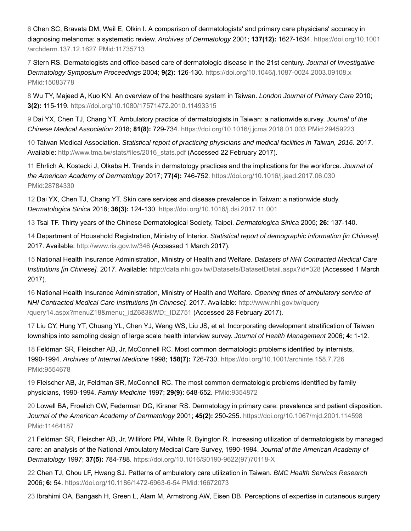6 Chen SC, Bravata DM, Weil E, Olkin I. A comparison of dermatologists' and primary care physicians' accuracy in diagnosing melanoma: a systematic review. *Archives of Dermatology* 2001; **137(12):** 1627-1634. https://doi.org/10.1001 /archderm.137.12.1627 PMid:11735713

7 Stern RS. Dermatologists and office-based care of dermatologic disease in the 21st century. *Journal of Investigative Dermatology Symposium Proceedings* 2004; **9(2):** 126-130. https://doi.org/10.1046/j.1087-0024.2003.09108.x PMid:15083778

8 Wu TY, Majeed A, Kuo KN. An overview of the healthcare system in Taiwan. *London Journal of Primary Care* 2010; **3(2):** 115-119. https://doi.org/10.1080/17571472.2010.11493315

9 Dai YX, Chen TJ, Chang YT. Ambulatory practice of dermatologists in Taiwan: a nationwide survey. *Journal of the Chinese Medical Association* 2018; **81(8):** 729-734. https://doi.org/10.1016/j.jcma.2018.01.003 PMid:29459223

10 Taiwan Medical Association. *Statistical report of practicing physicians and medical facilities in Taiwan, 2016.* 2017. Available: http://www.tma.tw/stats/files/2016\_stats.pdf (Accessed 22 February 2017).

11 Ehrlich A, Kostecki J, Olkaba H. Trends in dermatology practices and the implications for the workforce. *Journal of the American Academy of Dermatology* 2017; **77(4):** 746-752. https://doi.org/10.1016/j.jaad.2017.06.030 PMid:28784330

12 Dai YX, Chen TJ, Chang YT. Skin care services and disease prevalence in Taiwan: a nationwide study. *Dermatologica Sinica* 2018; **36(3):** 124-130. https://doi.org/10.1016/j.dsi.2017.11.001

13 Tsai TF. Thirty years of the Chinese Dermatological Society, Taipei. *Dermatologica Sinica* 2005; **26:** 137-140.

14 Department of Household Registration, Ministry of Interior. *Statistical report of demographic information [in Chinese].* 2017. Available: http://www.ris.gov.tw/346 (Accessed 1 March 2017).

15 National Health Insurance Administration, Ministry of Health and Welfare. *Datasets of NHI Contracted Medical Care Institutions [in Chinese].* 2017. Available: http://data.nhi.gov.tw/Datasets/DatasetDetail.aspx?id=328 (Accessed 1 March 2017).

16 National Health Insurance Administration, Ministry of Health and Welfare. *Opening times of ambulatory service of NHI Contracted Medical Care Institutions [in Chinese].* 2017. Available: http://www.nhi.gov.tw/query /query14.aspx?menuZ18&menu;\_idZ683&WD;\_IDZ751 (Accessed 28 February 2017).

17 Liu CY, Hung YT, Chuang YL, Chen YJ, Weng WS, Liu JS, et al. Incorporating development stratification of Taiwan townships into sampling design of large scale health interview survey. *Journal of Health Management* 2006; **4:** 1-12.

18 Feldman SR, Fleischer AB, Jr, McConnell RC. Most common dermatologic problems identified by internists, 1990-1994. *Archives of Internal Medicine* 1998; **158(7):** 726-730. https://doi.org/10.1001/archinte.158.7.726 PMid:9554678

19 Fleischer AB, Jr, Feldman SR, McConnell RC. The most common dermatologic problems identified by family physicians, 1990-1994. *Family Medicine* 1997; **29(9):** 648-652. PMid:9354872

20 Lowell BA, Froelich CW, Federman DG, Kirsner RS. Dermatology in primary care: prevalence and patient disposition. *Journal of the American Academy of Dermatology* 2001; **45(2):** 250-255. https://doi.org/10.1067/mjd.2001.114598 PMid:11464187

21 Feldman SR, Fleischer AB, Jr, Williford PM, White R, Byington R. Increasing utilization of dermatologists by managed care: an analysis of the National Ambulatory Medical Care Survey, 1990-1994. *Journal of the American Academy of Dermatology* 1997; **37(5):** 784-788. https://doi.org/10.1016/S0190-9622(97)70118-X

22 Chen TJ, Chou LF, Hwang SJ. Patterns of ambulatory care utilization in Taiwan. *BMC Health Services Research* 2006; **6:** 54. https://doi.org/10.1186/1472-6963-6-54 PMid:16672073

23 Ibrahimi OA, Bangash H, Green L, Alam M, Armstrong AW, Eisen DB. Perceptions of expertise in cutaneous surgery